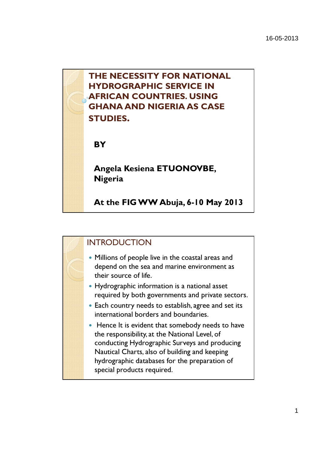

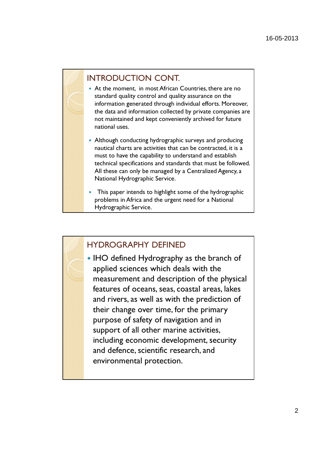### INTRODUCTION CONT.

- At the moment, in most African Countries, there are no standard quality control and quality assurance on the information generated through individual efforts. Moreover, the data and information collected by private companies are not maintained and kept conveniently archived for future national uses.
- Although conducting hydrographic surveys and producing nautical charts are activities that can be contracted, it is a must to have the capability to understand and establish technical specifications and standards that must be followed. All these can only be managed by a Centralized Agency, a National Hydrographic Service.
- This paper intends to highlight some of the hydrographic problems in Africa and the urgent need for a National Hydrographic Service.

### HYDROGRAPHY DEFINED

• IHO defined Hydrography as the branch of applied sciences which deals with the measurement and description of the physical features of oceans, seas, coastal areas, lakes and rivers, as well as with the prediction of their change over time, for the primary purpose of safety of navigation and in support of all other marine activities, including economic development, security and defence, scientific research, and environmental protection.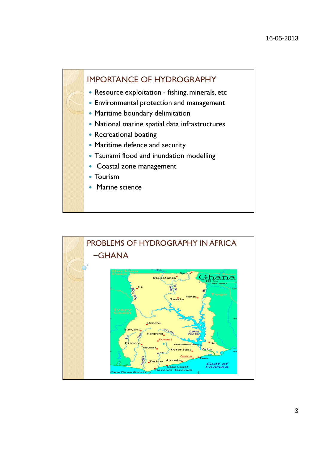### IMPORTANCE OF HYDROGRAPHY

- Resource exploitation fishing, minerals, etc
- Environmental protection and management
- Maritime boundary delimitation
- National marine spatial data infrastructures
- Recreational boating
- Maritime defence and security
- Tsunami flood and inundation modelling
- Coastal zone management
- Tourism
- Marine science

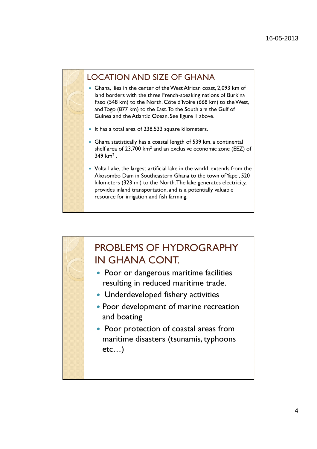### LOCATION AND SIZE OF GHANA

- Ghana, lies in the center of the West African coast, 2,093 km of land borders with the three French-speaking nations of Burkina Faso (548 km) to the North, Côte d'Ivoire (668 km) to the West, and Togo (877 km) to the East. To the South are the Gulf of Guinea and the Atlantic Ocean. See figure 1 above.
- It has a total area of 238,533 square kilometers.
- Ghana statistically has a coastal length of 539 km, a continental shelf area of 23,700 km<sup>2</sup> and an exclusive economic zone (EEZ) of 349 km<sup>2</sup> .
- Volta Lake, the largest artificial lake in the world, extends from the Akosombo Dam in Southeastern Ghana to the town of Yapei, 520 kilometers (323 mi) to the North. The lake generates electricity, provides inland transportation, and is a potentially valuable resource for irrigation and fish farming.

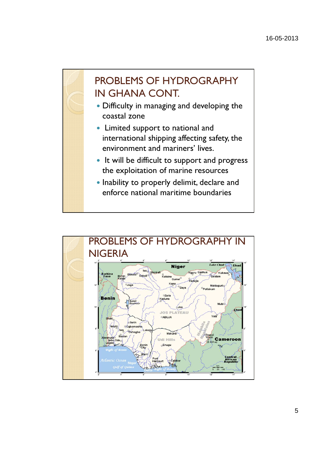

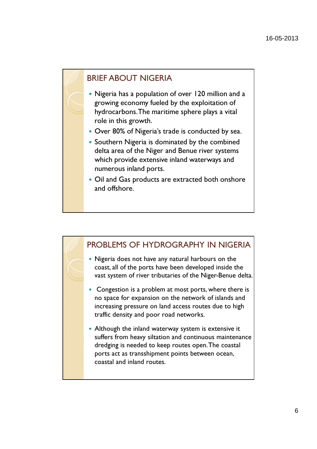### BRIEF ABOUT NIGERIA

- Nigeria has a population of over 120 million and a growing economy fueled by the exploitation of hydrocarbons. The maritime sphere plays a vital role in this growth.
- Over 80% of Nigeria's trade is conducted by sea.
- Southern Nigeria is dominated by the combined delta area of the Niger and Benue river systems which provide extensive inland waterways and numerous inland ports.
- Oil and Gas products are extracted both onshore and offshore.

# PROBLEMS OF HYDROGRAPHY IN NIGERIA

- Nigeria does not have any natural harbours on the coast, all of the ports have been developed inside the vast system of river tributaries of the Niger-Benue delta.
- Congestion is a problem at most ports, where there is no space for expansion on the network of islands and increasing pressure on land access routes due to high traffic density and poor road networks.
- Although the inland waterway system is extensive it suffers from heavy siltation and continuous maintenance dredging is needed to keep routes open. The coastal ports act as transshipment points between ocean, coastal and inland routes.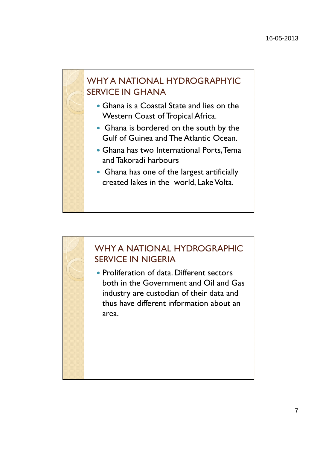### WHY A NATIONAL HYDROGRAPHYIC SERVICE IN GHANA

- Ghana is a Coastal State and lies on the Western Coast of Tropical Africa.
- Ghana is bordered on the south by the Gulf of Guinea and The Atlantic Ocean.
- Ghana has two International Ports, Tema and Takoradi harbours
- Ghana has one of the largest artificially created lakes in the world, Lake Volta.

# WHY A NATIONAL HYDROGRAPHIC SERVICE IN NIGERIA • Proliferation of data. Different sectors both in the Government and Oil and Gas industry are custodian of their data and thus have different information about an area.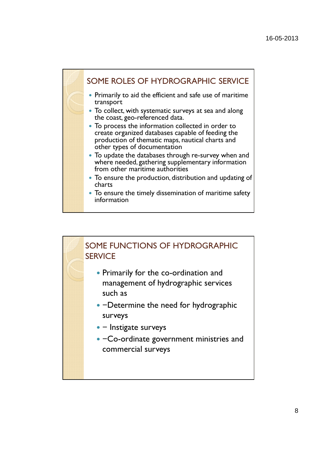

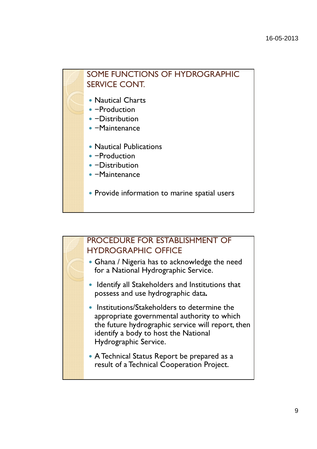## SOME FUNCTIONS OF HYDROGRAPHIC SERVICE CONT.

- Nautical Charts
- −Production
- −Distribution
- −Maintenance
- Nautical Publications
- −Production
- −Distribution
- −Maintenance
- Provide information to marine spatial users

### PROCEDURE FOR ESTABLISHMENT OF HYDROGRAPHIC OFFICE

- Ghana / Nigeria has to acknowledge the need for a National Hydrographic Service.
- Identify all Stakeholders and Institutions that possess and use hydrographic data.
- Institutions/Stakeholders to determine the appropriate governmental authority to which the future hydrographic service will report, then identify a body to host the National Hydrographic Service.
- A Technical Status Report be prepared as a result of a Technical Cooperation Project.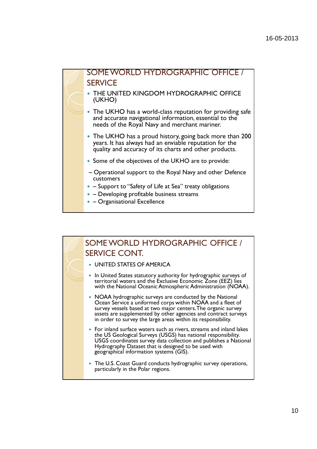

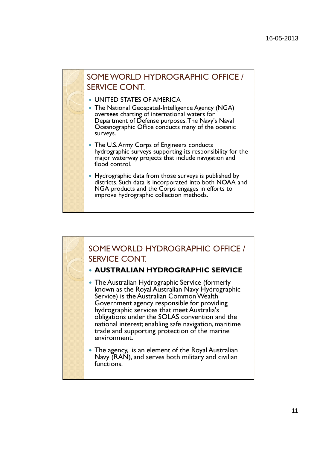

- UNITED STATES OF AMERICA
- The National Geospatial-Intelligence Agency (NGA) oversees charting of international waters for Department of Defense purposes. The Navy's Naval Oceanographic Office conducts many of the oceanic surveys.
- The U.S. Army Corps of Engineers conducts hydrographic surveys supporting its responsibility for the major waterway projects that include navigation and flood control.
- Hydrographic data from those surveys is published by districts. Such data is incorporated into both NOAA and NGA products and the Corps engages in efforts to improve hydrographic collection methods.

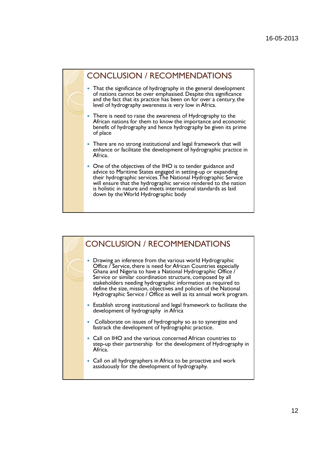#### CONCLUSION / RECOMMENDATIONS

- That the significance of hydrography in the general development of nations cannot be over emphasised. Despite this significance and the fact that its practice has been on for over a century, the level of hydrography awareness is very low in Africa.
- There is need to raise the awareness of Hydrography to the African nations for them to know the importance and economic benefit of hydrography and hence hydrography be given its prime of place
- There are no strong institutional and legal framework that will enhance or facilitate the development of hydrographic practice in Africa.
- One of the objectives of the IHO is to tender guidance and advice to Maritime States engaged in setting-up or expanding their hydrographic services. The National Hydrographic Service will ensure that the hydrographic service rendered to the nation is holistic in nature and meets international standards as laid down by the World Hydrographic body

#### CONCLUSION / RECOMMENDATIONS • Drawing an inference from the various world Hydrographic Office / Service, there is need for African Countries especially Ghana and Nigeria to have a National Hydrographic Office / Service or similar coordination structure, composed by all stakeholders needing hydrographic information as required to define the size, mission, objectives and policies of the National Hydrographic Service / Office as well as its annual work program. Establish strong institutional and legal framework to facilitate the development of hydrography in Africa Collaborate on issues of hydrography so as to synergize and fastrack the development of hydrographic practice. Call on IHO and the various concerned African countries to step-up their partnership for the development of Hydrography in Africa. Call on all hydrographers in Africa to be proactive and work assiduously for the development of hydrography.